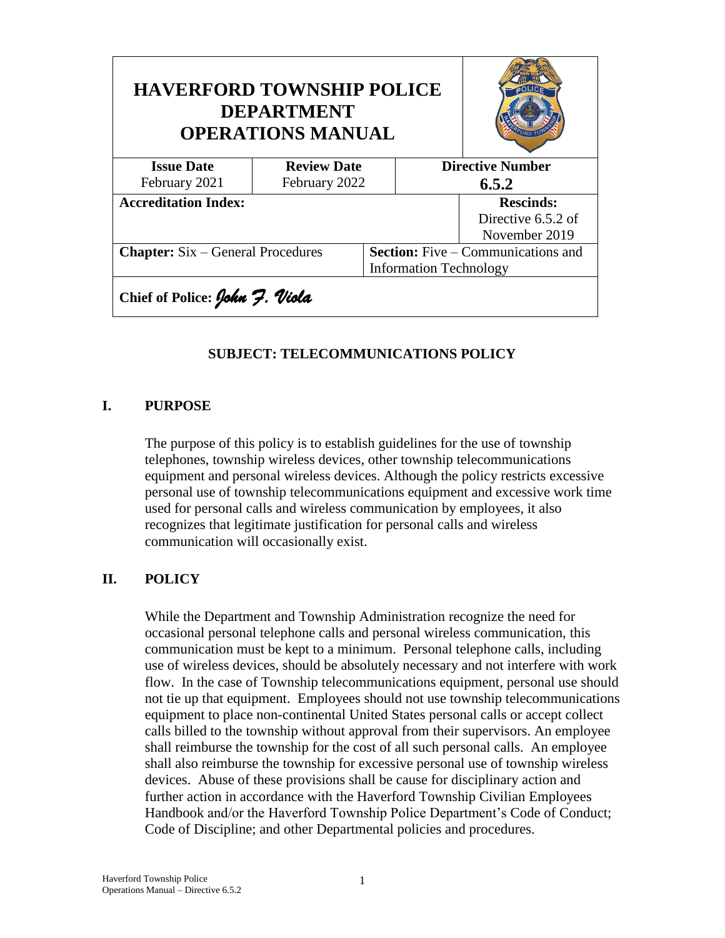| <b>HAVERFORD TOWNSHIP POLICE</b><br><b>DEPARTMENT</b><br><b>OPERATIONS MANUAL</b> |                    |  |                                           |                    |  |
|-----------------------------------------------------------------------------------|--------------------|--|-------------------------------------------|--------------------|--|
| <b>Issue Date</b>                                                                 | <b>Review Date</b> |  | <b>Directive Number</b>                   |                    |  |
| February 2021                                                                     | February 2022      |  | 6.5.2                                     |                    |  |
| <b>Accreditation Index:</b>                                                       |                    |  |                                           | <b>Rescinds:</b>   |  |
|                                                                                   |                    |  |                                           | Directive 6.5.2 of |  |
|                                                                                   |                    |  |                                           | November 2019      |  |
| <b>Chapter:</b> Six – General Procedures                                          |                    |  | <b>Section:</b> Five – Communications and |                    |  |
|                                                                                   |                    |  | <b>Information Technology</b>             |                    |  |
| Chief of Police: John 7. Viola                                                    |                    |  |                                           |                    |  |

### **SUBJECT: TELECOMMUNICATIONS POLICY**

#### **I. PURPOSE**

The purpose of this policy is to establish guidelines for the use of township telephones, township wireless devices, other township telecommunications equipment and personal wireless devices. Although the policy restricts excessive personal use of township telecommunications equipment and excessive work time used for personal calls and wireless communication by employees, it also recognizes that legitimate justification for personal calls and wireless communication will occasionally exist.

#### **II. POLICY**

While the Department and Township Administration recognize the need for occasional personal telephone calls and personal wireless communication, this communication must be kept to a minimum. Personal telephone calls, including use of wireless devices, should be absolutely necessary and not interfere with work flow. In the case of Township telecommunications equipment, personal use should not tie up that equipment. Employees should not use township telecommunications equipment to place non-continental United States personal calls or accept collect calls billed to the township without approval from their supervisors. An employee shall reimburse the township for the cost of all such personal calls. An employee shall also reimburse the township for excessive personal use of township wireless devices. Abuse of these provisions shall be cause for disciplinary action and further action in accordance with the Haverford Township Civilian Employees Handbook and/or the Haverford Township Police Department's Code of Conduct; Code of Discipline; and other Departmental policies and procedures.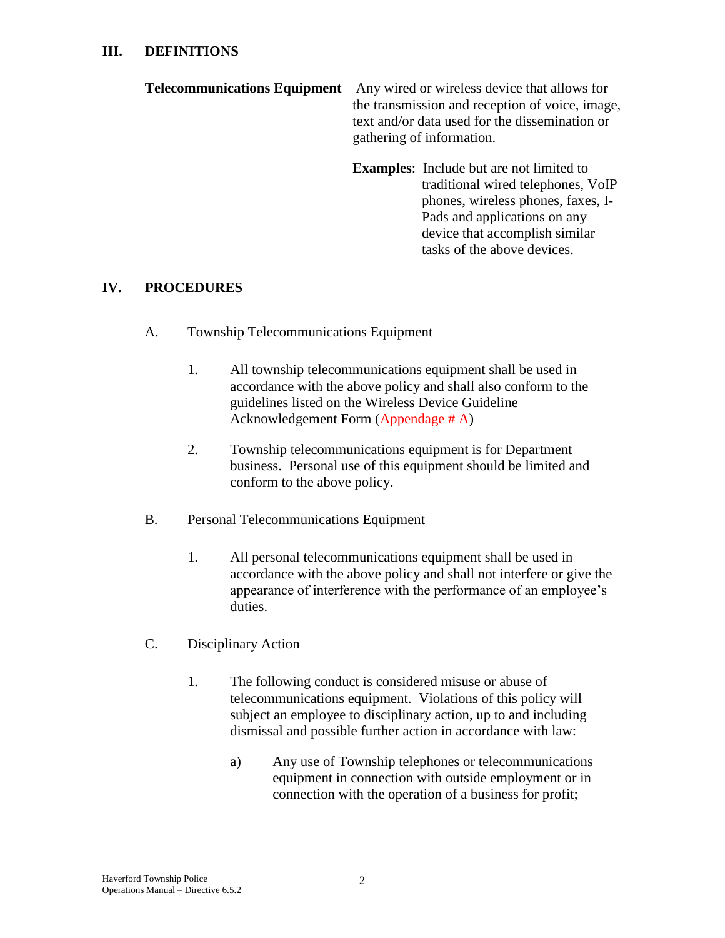- **Telecommunications Equipment** Any wired or wireless device that allows for the transmission and reception of voice, image, text and/or data used for the dissemination or gathering of information.
	- **Examples**: Include but are not limited to traditional wired telephones, VoIP phones, wireless phones, faxes, I-Pads and applications on any device that accomplish similar tasks of the above devices.

## **IV. PROCEDURES**

- A. Township Telecommunications Equipment
	- 1. All township telecommunications equipment shall be used in accordance with the above policy and shall also conform to the guidelines listed on the Wireless Device Guideline Acknowledgement Form (Appendage # A)
	- 2. Township telecommunications equipment is for Department business. Personal use of this equipment should be limited and conform to the above policy.
- B. Personal Telecommunications Equipment
	- 1. All personal telecommunications equipment shall be used in accordance with the above policy and shall not interfere or give the appearance of interference with the performance of an employee's duties.
- C. Disciplinary Action
	- 1. The following conduct is considered misuse or abuse of telecommunications equipment. Violations of this policy will subject an employee to disciplinary action, up to and including dismissal and possible further action in accordance with law:
		- a) Any use of Township telephones or telecommunications equipment in connection with outside employment or in connection with the operation of a business for profit;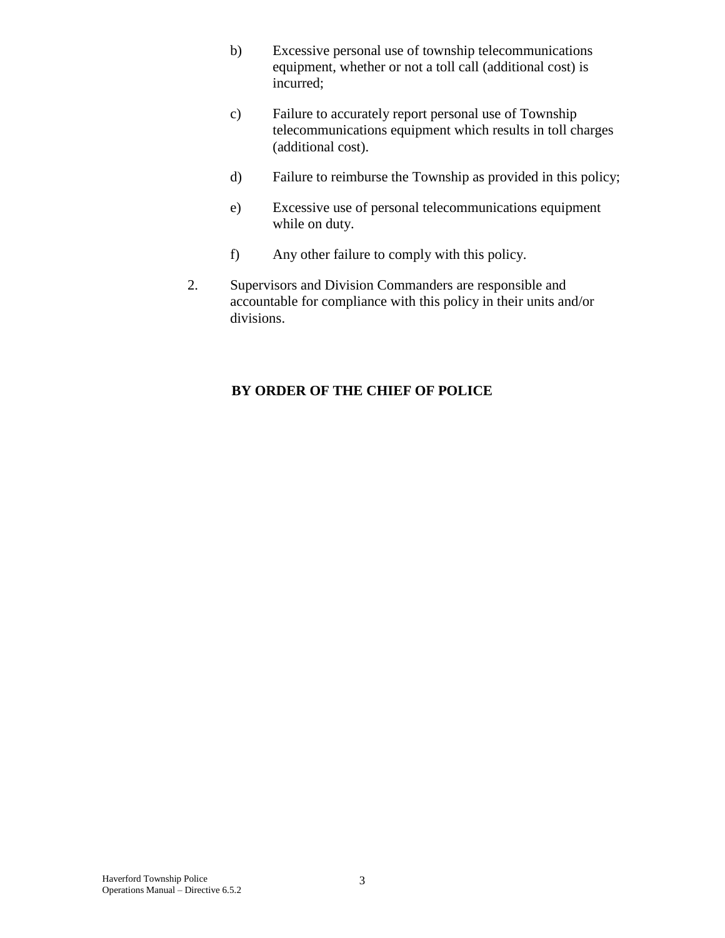- b) Excessive personal use of township telecommunications equipment, whether or not a toll call (additional cost) is incurred;
- c) Failure to accurately report personal use of Township telecommunications equipment which results in toll charges (additional cost).
- d) Failure to reimburse the Township as provided in this policy;
- e) Excessive use of personal telecommunications equipment while on duty.
- f) Any other failure to comply with this policy.
- 2. Supervisors and Division Commanders are responsible and accountable for compliance with this policy in their units and/or divisions.

# **BY ORDER OF THE CHIEF OF POLICE**